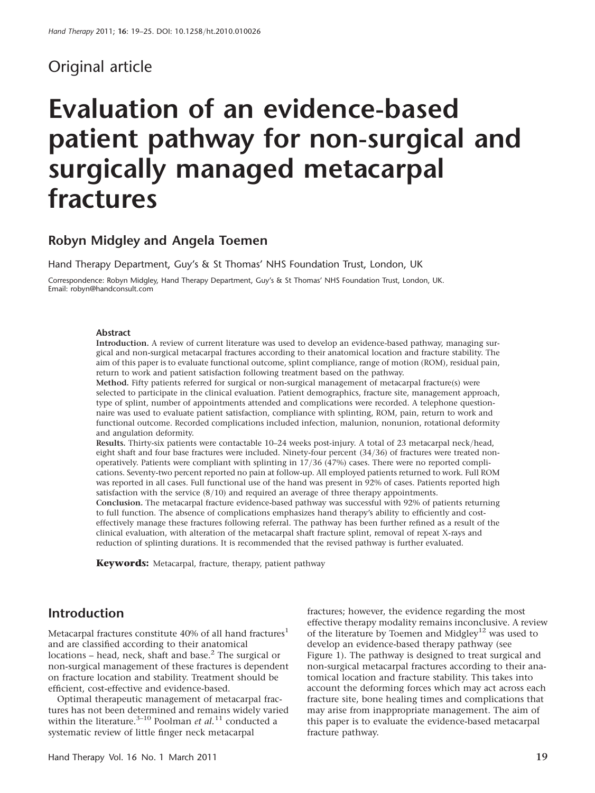# Original article

# Evaluation of an evidence-based patient pathway for non-surgical and surgically managed metacarpal fractures

## Robyn Midgley and Angela Toemen

Hand Therapy Department, Guy's & St Thomas' NHS Foundation Trust, London, UK

Correspondence: Robyn Midgley, Hand Therapy Department, Guy's & St Thomas' NHS Foundation Trust, London, UK. Email: robyn@handconsult.com

#### Abstract

Introduction. A review of current literature was used to develop an evidence-based pathway, managing surgical and non-surgical metacarpal fractures according to their anatomical location and fracture stability. The aim of this paper is to evaluate functional outcome, splint compliance, range of motion (ROM), residual pain, return to work and patient satisfaction following treatment based on the pathway.

Method. Fifty patients referred for surgical or non-surgical management of metacarpal fracture(s) were selected to participate in the clinical evaluation. Patient demographics, fracture site, management approach, type of splint, number of appointments attended and complications were recorded. A telephone questionnaire was used to evaluate patient satisfaction, compliance with splinting, ROM, pain, return to work and functional outcome. Recorded complications included infection, malunion, nonunion, rotational deformity and angulation deformity.

Results. Thirty-six patients were contactable 10–24 weeks post-injury. A total of 23 metacarpal neck/head, eight shaft and four base fractures were included. Ninety-four percent (34/36) of fractures were treated nonoperatively. Patients were compliant with splinting in 17/36 (47%) cases. There were no reported complications. Seventy-two percent reported no pain at follow-up. All employed patients returned to work. Full ROM was reported in all cases. Full functional use of the hand was present in 92% of cases. Patients reported high satisfaction with the service (8/10) and required an average of three therapy appointments. Conclusion. The metacarpal fracture evidence-based pathway was successful with 92% of patients returning to full function. The absence of complications emphasizes hand therapy's ability to efficiently and costeffectively manage these fractures following referral. The pathway has been further refined as a result of the clinical evaluation, with alteration of the metacarpal shaft fracture splint, removal of repeat X-rays and

reduction of splinting durations. It is recommended that the revised pathway is further evaluated.

Keywords: Metacarpal, fracture, therapy, patient pathway

## Introduction

Metacarpal fractures constitute 40% of all hand fractures<sup>1</sup> and are classified according to their anatomical locations – head, neck, shaft and base. $<sup>2</sup>$  The surgical or</sup> non-surgical management of these fractures is dependent on fracture location and stability. Treatment should be efficient, cost-effective and evidence-based.

Optimal therapeutic management of metacarpal fractures has not been determined and remains widely varied within the literature.<sup>3–10</sup> Poolman et al.<sup>11</sup> conducted a systematic review of little finger neck metacarpal

fractures; however, the evidence regarding the most effective therapy modality remains inconclusive. A review of the literature by Toemen and Midgley<sup>12</sup> was used to develop an evidence-based therapy pathway (see Figure 1). The pathway is designed to treat surgical and non-surgical metacarpal fractures according to their anatomical location and fracture stability. This takes into account the deforming forces which may act across each fracture site, bone healing times and complications that may arise from inappropriate management. The aim of this paper is to evaluate the evidence-based metacarpal fracture pathway.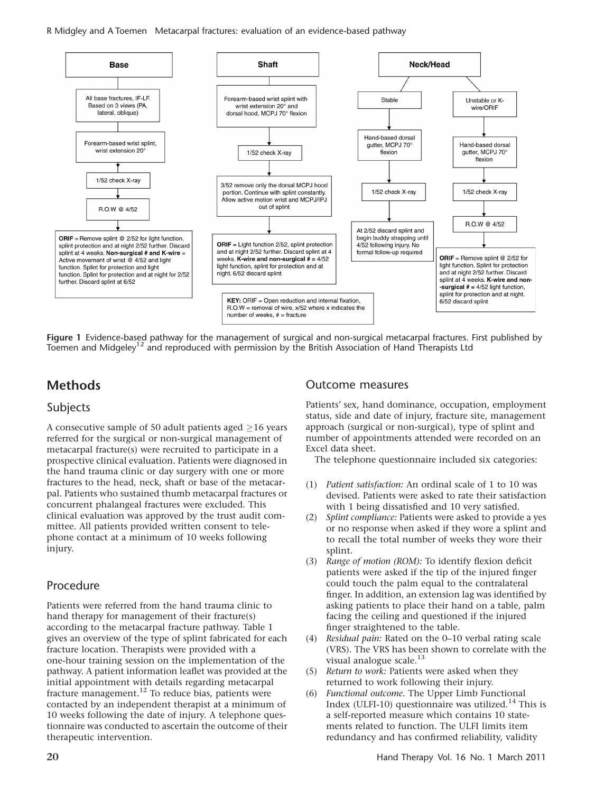R Midgley and A Toemen Metacarpal fractures: evaluation of an evidence-based pathway



Figure 1 Evidence-based pathway for the management of surgical and non-surgical metacarpal fractures. First published by Toemen and Midgeley<sup>12</sup> and reproduced with permission by the British Association of Hand Therapists Ltd

# **Methods**

## Subjects

A consecutive sample of 50 adult patients aged  $\geq$ 16 years referred for the surgical or non-surgical management of metacarpal fracture(s) were recruited to participate in a prospective clinical evaluation. Patients were diagnosed in the hand trauma clinic or day surgery with one or more fractures to the head, neck, shaft or base of the metacarpal. Patients who sustained thumb metacarpal fractures or concurrent phalangeal fractures were excluded. This clinical evaluation was approved by the trust audit committee. All patients provided written consent to telephone contact at a minimum of 10 weeks following injury.

## Procedure

Patients were referred from the hand trauma clinic to hand therapy for management of their fracture(s) according to the metacarpal fracture pathway. Table 1 gives an overview of the type of splint fabricated for each fracture location. Therapists were provided with a one-hour training session on the implementation of the pathway. A patient information leaflet was provided at the initial appointment with details regarding metacarpal fracture management.<sup>12</sup> To reduce bias, patients were contacted by an independent therapist at a minimum of 10 weeks following the date of injury. A telephone questionnaire was conducted to ascertain the outcome of their therapeutic intervention.

#### Outcome measures

Patients' sex, hand dominance, occupation, employment status, side and date of injury, fracture site, management approach (surgical or non-surgical), type of splint and number of appointments attended were recorded on an Excel data sheet.

The telephone questionnaire included six categories:

- (1) Patient satisfaction: An ordinal scale of 1 to 10 was devised. Patients were asked to rate their satisfaction with 1 being dissatisfied and 10 very satisfied.
- (2) Splint compliance: Patients were asked to provide a yes or no response when asked if they wore a splint and to recall the total number of weeks they wore their splint.
- (3) Range of motion (ROM): To identify flexion deficit patients were asked if the tip of the injured finger could touch the palm equal to the contralateral finger. In addition, an extension lag was identified by asking patients to place their hand on a table, palm facing the ceiling and questioned if the injured finger straightened to the table.
- (4) Residual pain: Rated on the 0–10 verbal rating scale (VRS). The VRS has been shown to correlate with the visual analogue scale.<sup>13</sup>
- (5) Return to work: Patients were asked when they returned to work following their injury.
- (6) Functional outcome. The Upper Limb Functional Index (ULFI-10) questionnaire was utilized.<sup>14</sup> This is a self-reported measure which contains 10 statements related to function. The ULFI limits item redundancy and has confirmed reliability, validity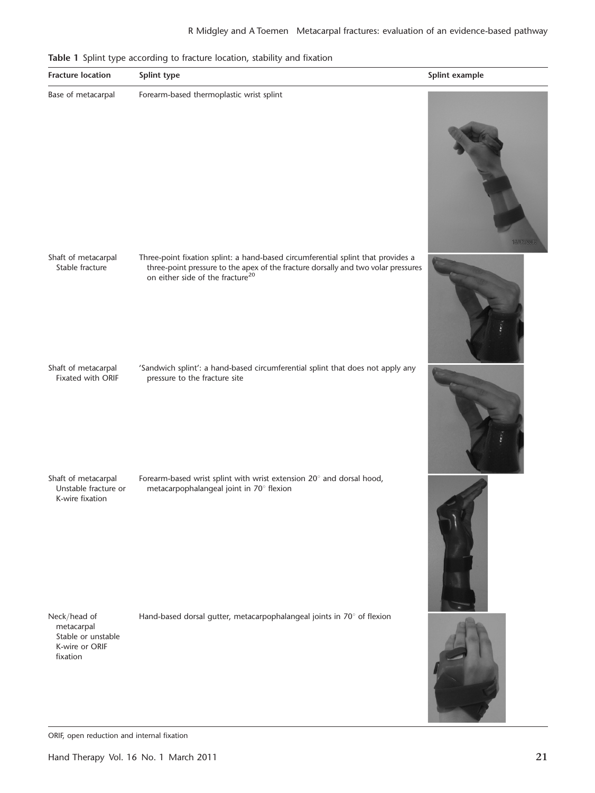Table 1 Splint type according to fracture location, stability and fixation



ORIF, open reduction and internal fixation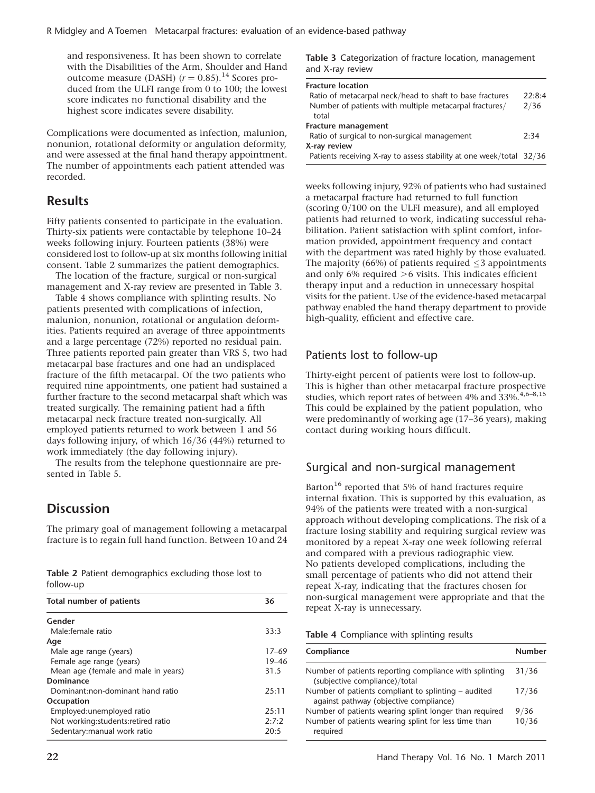and responsiveness. It has been shown to correlate with the Disabilities of the Arm, Shoulder and Hand outcome measure (DASH)  $(r = 0.85)$ .<sup>14</sup> Scores produced from the ULFI range from 0 to 100; the lowest score indicates no functional disability and the highest score indicates severe disability.

Complications were documented as infection, malunion, nonunion, rotational deformity or angulation deformity, and were assessed at the final hand therapy appointment. The number of appointments each patient attended was recorded.

## **Results**

Fifty patients consented to participate in the evaluation. Thirty-six patients were contactable by telephone 10–24 weeks following injury. Fourteen patients (38%) were considered lost to follow-up at six months following initial consent. Table 2 summarizes the patient demographics.

The location of the fracture, surgical or non-surgical management and X-ray review are presented in Table 3.

Table 4 shows compliance with splinting results. No patients presented with complications of infection, malunion, nonunion, rotational or angulation deformities. Patients required an average of three appointments and a large percentage (72%) reported no residual pain. Three patients reported pain greater than VRS 5, two had metacarpal base fractures and one had an undisplaced fracture of the fifth metacarpal. Of the two patients who required nine appointments, one patient had sustained a further fracture to the second metacarpal shaft which was treated surgically. The remaining patient had a fifth metacarpal neck fracture treated non-surgically. All employed patients returned to work between 1 and 56 days following injury, of which 16/36 (44%) returned to work immediately (the day following injury).

The results from the telephone questionnaire are presented in Table 5.

## **Discussion**

The primary goal of management following a metacarpal fracture is to regain full hand function. Between 10 and 24

Table 2 Patient demographics excluding those lost to follow-up

| Total number of patients             | 36        |  |  |
|--------------------------------------|-----------|--|--|
| Gender                               |           |  |  |
| Male:female ratio                    | 33:3      |  |  |
| Age                                  |           |  |  |
| Male age range (years)               | $17 - 69$ |  |  |
| Female age range (years)             | 19–46     |  |  |
| Mean age (female and male in years)  | 31.5      |  |  |
| Dominance                            |           |  |  |
| Dominant:non-dominant hand ratio     | 25:11     |  |  |
| Occupation                           |           |  |  |
| Employed: unemployed ratio           | 25:11     |  |  |
| Not working: students: retired ratio | 2:7:2     |  |  |
| Sedentary: manual work ratio         | 20:5      |  |  |

Table 3 Categorization of fracture location, management and X-ray review

| <b>Fracture location</b>                                               |        |
|------------------------------------------------------------------------|--------|
| Ratio of metacarpal neck/head to shaft to base fractures               | 22:8:4 |
| Number of patients with multiple metacarpal fractures/                 | 2/36   |
| total                                                                  |        |
| Fracture management                                                    |        |
| Ratio of surgical to non-surgical management                           | 2:34   |
| X-ray review                                                           |        |
| Patients receiving X-ray to assess stability at one week/total $32/36$ |        |

weeks following injury, 92% of patients who had sustained a metacarpal fracture had returned to full function (scoring 0/100 on the ULFI measure), and all employed patients had returned to work, indicating successful rehabilitation. Patient satisfaction with splint comfort, information provided, appointment frequency and contact with the department was rated highly by those evaluated. The majority  $(66%)$  of patients required  $\leq$ 3 appointments and only 6% required  $>6$  visits. This indicates efficient therapy input and a reduction in unnecessary hospital visits for the patient. Use of the evidence-based metacarpal pathway enabled the hand therapy department to provide high-quality, efficient and effective care.

#### Patients lost to follow-up

Thirty-eight percent of patients were lost to follow-up. This is higher than other metacarpal fracture prospective studies, which report rates of between 4% and 33%.<sup>4,6-8,15</sup> This could be explained by the patient population, who were predominantly of working age (17–36 years), making contact during working hours difficult.

## Surgical and non-surgical management

Barton<sup>16</sup> reported that 5% of hand fractures require internal fixation. This is supported by this evaluation, as 94% of the patients were treated with a non-surgical approach without developing complications. The risk of a fracture losing stability and requiring surgical review was monitored by a repeat X-ray one week following referral and compared with a previous radiographic view. No patients developed complications, including the small percentage of patients who did not attend their repeat X-ray, indicating that the fractures chosen for non-surgical management were appropriate and that the repeat X-ray is unnecessary.

|  | Table 4 Compliance with splinting results |  |  |  |
|--|-------------------------------------------|--|--|--|
|--|-------------------------------------------|--|--|--|

| Compliance                                                                                    | <b>Number</b> |
|-----------------------------------------------------------------------------------------------|---------------|
| Number of patients reporting compliance with splinting<br>(subjective compliance)/total       | 31/36         |
| Number of patients compliant to splinting – audited<br>against pathway (objective compliance) | 17/36         |
| Number of patients wearing splint longer than required                                        | 9/36          |
| Number of patients wearing splint for less time than<br>required                              | 10/36         |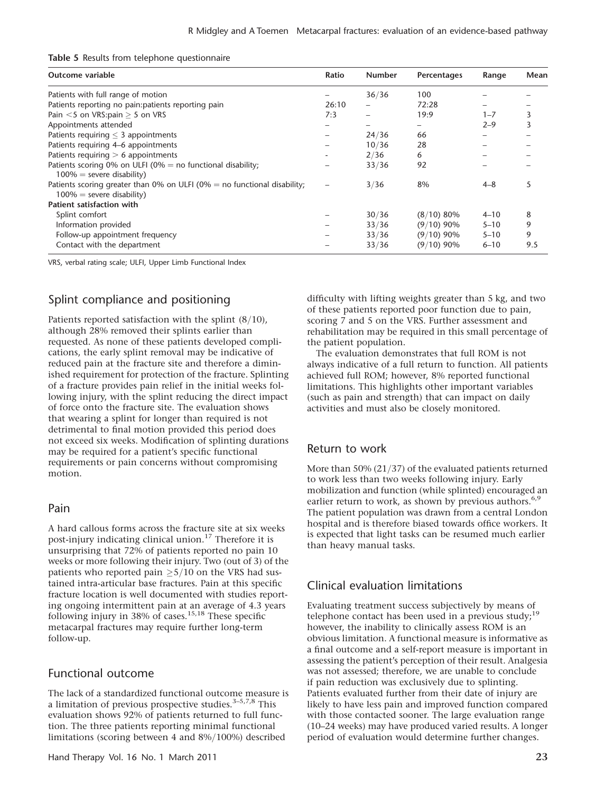| Outcome variable                                                                                         | Ratio | <b>Number</b> | Percentages  | Range    | Mean |
|----------------------------------------------------------------------------------------------------------|-------|---------------|--------------|----------|------|
| Patients with full range of motion                                                                       |       | 36/36         | 100          |          |      |
| Patients reporting no pain:patients reporting pain                                                       | 26:10 |               | 72:28        |          |      |
| Pain $<$ 5 on VRS:pain $>$ 5 on VRS                                                                      | 7:3   |               | 19:9         | $1 - 7$  |      |
| Appointments attended                                                                                    |       |               |              | $2 - 9$  |      |
| Patients requiring $\leq$ 3 appointments                                                                 |       | 24/36         | 66           |          |      |
| Patients requiring 4–6 appointments                                                                      |       | 10/36         | 28           |          |      |
| Patients requiring $> 6$ appointments                                                                    |       | 2/36          | 6            |          |      |
| Patients scoring 0% on ULFI (0% = no functional disability;<br>$100\%$ = severe disability)              |       | 33/36         | 92           |          |      |
| Patients scoring greater than 0% on ULFI (0% = no functional disability;<br>$100\%$ = severe disability) |       | 3/36          | 8%           | $4 - 8$  |      |
| Patient satisfaction with                                                                                |       |               |              |          |      |
| Splint comfort                                                                                           |       | 30/36         | (8/10) 80%   | $4 - 10$ | 8    |
| Information provided                                                                                     |       | 33/36         | $(9/10)$ 90% | $5 - 10$ | 9    |
| Follow-up appointment frequency                                                                          |       | 33/36         | $(9/10)$ 90% | $5 - 10$ | 9    |
| Contact with the department                                                                              |       | 33/36         | $(9/10)$ 90% | $6 - 10$ | 9.5  |

VRS, verbal rating scale; ULFI, Upper Limb Functional Index

## Splint compliance and positioning

Patients reported satisfaction with the splint (8/10), although 28% removed their splints earlier than requested. As none of these patients developed complications, the early splint removal may be indicative of reduced pain at the fracture site and therefore a diminished requirement for protection of the fracture. Splinting of a fracture provides pain relief in the initial weeks following injury, with the splint reducing the direct impact of force onto the fracture site. The evaluation shows that wearing a splint for longer than required is not detrimental to final motion provided this period does not exceed six weeks. Modification of splinting durations may be required for a patient's specific functional requirements or pain concerns without compromising motion.

#### Pain

A hard callous forms across the fracture site at six weeks post-injury indicating clinical union.<sup>17</sup> Therefore it is unsurprising that 72% of patients reported no pain 10 weeks or more following their injury. Two (out of 3) of the patients who reported pain  $\geq 5/10$  on the VRS had sustained intra-articular base fractures. Pain at this specific fracture location is well documented with studies reporting ongoing intermittent pain at an average of 4.3 years following injury in 38% of cases.<sup>15,18</sup> These specific metacarpal fractures may require further long-term follow-up.

## Functional outcome

The lack of a standardized functional outcome measure is a limitation of previous prospective studies. $3-5,7,8$  This evaluation shows 92% of patients returned to full function. The three patients reporting minimal functional limitations (scoring between 4 and 8%/100%) described

difficulty with lifting weights greater than 5 kg, and two of these patients reported poor function due to pain, scoring 7 and 5 on the VRS. Further assessment and rehabilitation may be required in this small percentage of the patient population.

The evaluation demonstrates that full ROM is not always indicative of a full return to function. All patients achieved full ROM; however, 8% reported functional limitations. This highlights other important variables (such as pain and strength) that can impact on daily activities and must also be closely monitored.

#### Return to work

More than 50% (21/37) of the evaluated patients returned to work less than two weeks following injury. Early mobilization and function (while splinted) encouraged an earlier return to work, as shown by previous authors.<sup>6,9</sup> The patient population was drawn from a central London hospital and is therefore biased towards office workers. It is expected that light tasks can be resumed much earlier than heavy manual tasks.

## Clinical evaluation limitations

Evaluating treatment success subjectively by means of telephone contact has been used in a previous study; $19$ however, the inability to clinically assess ROM is an obvious limitation. A functional measure is informative as a final outcome and a self-report measure is important in assessing the patient's perception of their result. Analgesia was not assessed; therefore, we are unable to conclude if pain reduction was exclusively due to splinting. Patients evaluated further from their date of injury are likely to have less pain and improved function compared with those contacted sooner. The large evaluation range (10–24 weeks) may have produced varied results. A longer period of evaluation would determine further changes.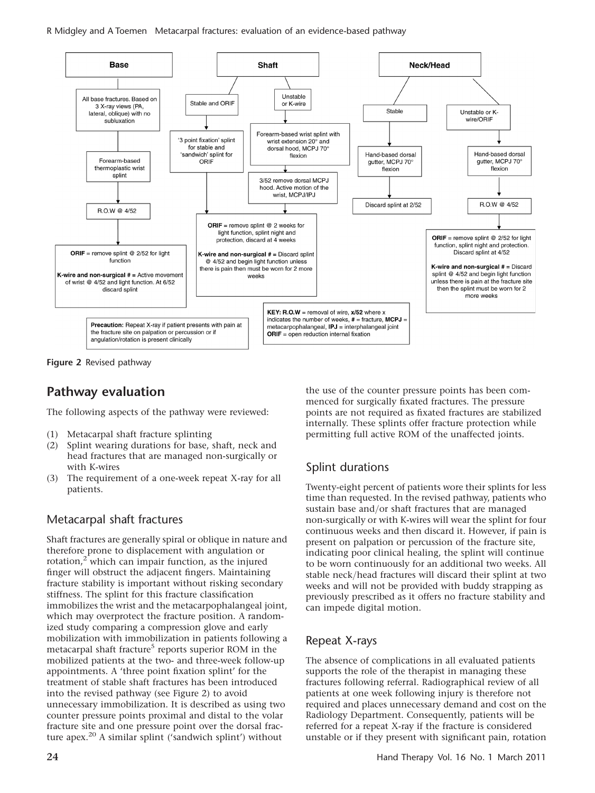R Midgley and A Toemen Metacarpal fractures: evaluation of an evidence-based pathway



Figure 2 Revised pathway

# Pathway evaluation

The following aspects of the pathway were reviewed:

- (1) Metacarpal shaft fracture splinting
- (2) Splint wearing durations for base, shaft, neck and head fractures that are managed non-surgically or with K-wires
- (3) The requirement of a one-week repeat X-ray for all patients.

## Metacarpal shaft fractures

Shaft fractures are generally spiral or oblique in nature and therefore prone to displacement with angulation or rotation, $2\overline{ }$  which can impair function, as the injured finger will obstruct the adjacent fingers. Maintaining fracture stability is important without risking secondary stiffness. The splint for this fracture classification immobilizes the wrist and the metacarpophalangeal joint, which may overprotect the fracture position. A randomized study comparing a compression glove and early mobilization with immobilization in patients following a metacarpal shaft fracture<sup>5</sup> reports superior ROM in the mobilized patients at the two- and three-week follow-up appointments. A 'three point fixation splint' for the treatment of stable shaft fractures has been introduced into the revised pathway (see Figure 2) to avoid unnecessary immobilization. It is described as using two counter pressure points proximal and distal to the volar fracture site and one pressure point over the dorsal fracture apex.<sup>20</sup> A similar splint ('sandwich splint') without

the use of the counter pressure points has been commenced for surgically fixated fractures. The pressure points are not required as fixated fractures are stabilized internally. These splints offer fracture protection while permitting full active ROM of the unaffected joints.

# Splint durations

Twenty-eight percent of patients wore their splints for less time than requested. In the revised pathway, patients who sustain base and/or shaft fractures that are managed non-surgically or with K-wires will wear the splint for four continuous weeks and then discard it. However, if pain is present on palpation or percussion of the fracture site, indicating poor clinical healing, the splint will continue to be worn continuously for an additional two weeks. All stable neck/head fractures will discard their splint at two weeks and will not be provided with buddy strapping as previously prescribed as it offers no fracture stability and can impede digital motion.

## Repeat X-rays

The absence of complications in all evaluated patients supports the role of the therapist in managing these fractures following referral. Radiographical review of all patients at one week following injury is therefore not required and places unnecessary demand and cost on the Radiology Department. Consequently, patients will be referred for a repeat X-ray if the fracture is considered unstable or if they present with significant pain, rotation